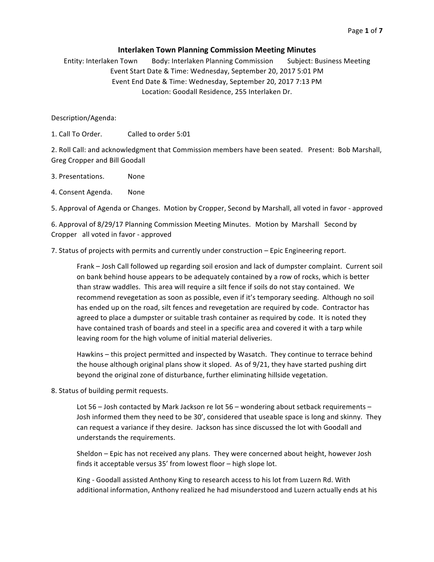# **Interlaken Town Planning Commission Meeting Minutes**

Entity: Interlaken Town Body: Interlaken Planning Commission Subject: Business Meeting Event Start Date & Time: Wednesday, September 20, 2017 5:01 PM Event End Date & Time: Wednesday, September 20, 2017 7:13 PM Location: Goodall Residence, 255 Interlaken Dr.

Description/Agenda:

1. Call To Order. Called to order 5:01

2. Roll Call: and acknowledgment that Commission members have been seated. Present: Bob Marshall, Greg Cropper and Bill Goodall

- 3. Presentations. None
- 4. Consent Agenda. None

5. Approval of Agenda or Changes. Motion by Cropper, Second by Marshall, all voted in favor - approved

6. Approval of 8/29/17 Planning Commission Meeting Minutes. Motion by Marshall Second by Cropper all voted in favor - approved

7. Status of projects with permits and currently under construction – Epic Engineering report.

Frank – Josh Call followed up regarding soil erosion and lack of dumpster complaint. Current soil on bank behind house appears to be adequately contained by a row of rocks, which is better than straw waddles. This area will require a silt fence if soils do not stay contained. We recommend revegetation as soon as possible, even if it's temporary seeding. Although no soil has ended up on the road, silt fences and revegetation are required by code. Contractor has agreed to place a dumpster or suitable trash container as required by code. It is noted they have contained trash of boards and steel in a specific area and covered it with a tarp while leaving room for the high volume of initial material deliveries.

Hawkins – this project permitted and inspected by Wasatch. They continue to terrace behind the house although original plans show it sloped. As of  $9/21$ , they have started pushing dirt beyond the original zone of disturbance, further eliminating hillside vegetation.

8. Status of building permit requests.

Lot  $56 -$  Josh contacted by Mark Jackson re lot  $56 -$  wondering about setback requirements  $-$ Josh informed them they need to be 30', considered that useable space is long and skinny. They can request a variance if they desire. Jackson has since discussed the lot with Goodall and understands the requirements.

Sheldon – Epic has not received any plans. They were concerned about height, however Josh finds it acceptable versus 35' from lowest floor - high slope lot.

King - Goodall assisted Anthony King to research access to his lot from Luzern Rd. With additional information, Anthony realized he had misunderstood and Luzern actually ends at his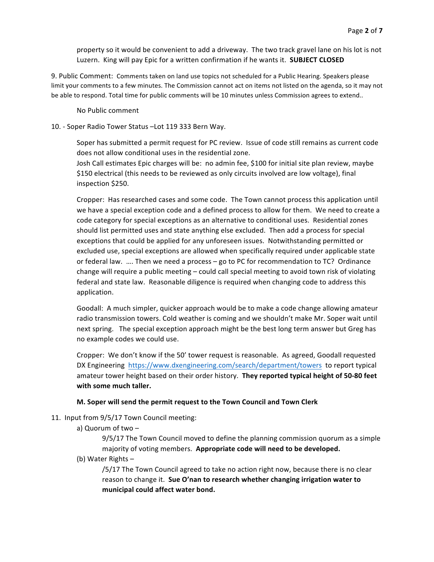property so it would be convenient to add a driveway. The two track gravel lane on his lot is not Luzern. King will pay Epic for a written confirmation if he wants it. **SUBJECT CLOSED** 

9. Public Comment: Comments taken on land use topics not scheduled for a Public Hearing. Speakers please limit your comments to a few minutes. The Commission cannot act on items not listed on the agenda, so it may not be able to respond. Total time for public comments will be 10 minutes unless Commission agrees to extend..

No Public comment

## 10. - Soper Radio Tower Status -Lot 119 333 Bern Way.

Soper has submitted a permit request for PC review. Issue of code still remains as current code does not allow conditional uses in the residential zone.

Josh Call estimates Epic charges will be: no admin fee, \$100 for initial site plan review, maybe \$150 electrical (this needs to be reviewed as only circuits involved are low voltage), final inspection \$250.

Cropper: Has researched cases and some code. The Town cannot process this application until we have a special exception code and a defined process to allow for them. We need to create a code category for special exceptions as an alternative to conditional uses. Residential zones should list permitted uses and state anything else excluded. Then add a process for special exceptions that could be applied for any unforeseen issues. Notwithstanding permitted or excluded use, special exceptions are allowed when specifically required under applicable state or federal law. .... Then we need a process - go to PC for recommendation to TC? Ordinance change will require a public meeting – could call special meeting to avoid town risk of violating federal and state law. Reasonable diligence is required when changing code to address this application.

Goodall: A much simpler, quicker approach would be to make a code change allowing amateur radio transmission towers. Cold weather is coming and we shouldn't make Mr. Soper wait until next spring. The special exception approach might be the best long term answer but Greg has no example codes we could use.

Cropper: We don't know if the 50' tower request is reasonable. As agreed, Goodall requested DX Engineering https://www.dxengineering.com/search/department/towers to report typical amateur tower height based on their order history. They reported typical height of 50-80 feet with some much taller.

### **M. Soper will send the permit request to the Town Council and Town Clerk**

- 11. Input from 9/5/17 Town Council meeting:
	- a) Quorum of two  $-$

 $9/5/17$  The Town Council moved to define the planning commission quorum as a simple majority of voting members. Appropriate code will need to be developed.

(b) Water Rights  $-$ 

/5/17 The Town Council agreed to take no action right now, because there is no clear reason to change it. Sue O'nan to research whether changing irrigation water to **municipal could affect water bond.**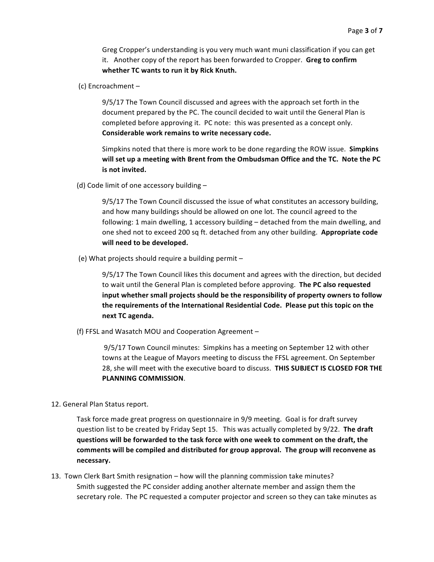Greg Cropper's understanding is you very much want muni classification if you can get it. Another copy of the report has been forwarded to Cropper. **Greg to confirm** whether TC wants to run it by Rick Knuth.

(c) Encroachment  $-$ 

9/5/17 The Town Council discussed and agrees with the approach set forth in the document prepared by the PC. The council decided to wait until the General Plan is completed before approving it. PC note: this was presented as a concept only. Considerable work remains to write necessary code.

Simpkins noted that there is more work to be done regarding the ROW issue. **Simpkins** will set up a meeting with Brent from the Ombudsman Office and the TC. Note the PC **is not invited.** 

(d) Code limit of one accessory building  $-$ 

9/5/17 The Town Council discussed the issue of what constitutes an accessory building, and how many buildings should be allowed on one lot. The council agreed to the following: 1 main dwelling, 1 accessory building - detached from the main dwelling, and one shed not to exceed 200 sq ft. detached from any other building. Appropriate code will need to be developed.

(e) What projects should require a building permit  $-$ 

9/5/17 The Town Council likes this document and agrees with the direction, but decided to wait until the General Plan is completed before approving. The PC also requested input whether small projects should be the responsibility of property owners to follow the requirements of the International Residential Code. Please put this topic on the **next TC agenda.**

(f) FFSL and Wasatch MOU and Cooperation Agreement -

9/5/17 Town Council minutes: Simpkins has a meeting on September 12 with other towns at the League of Mayors meeting to discuss the FFSL agreement. On September 28, she will meet with the executive board to discuss. THIS SUBJECT IS CLOSED FOR THE **PLANNING COMMISSION**.

12. General Plan Status report.

Task force made great progress on questionnaire in 9/9 meeting. Goal is for draft survey question list to be created by Friday Sept 15. This was actually completed by 9/22. The draft **questions will be forwarded to the task force with one week to comment on the draft, the**  comments will be compiled and distributed for group approval. The group will reconvene as **necessary.**

13. Town Clerk Bart Smith resignation – how will the planning commission take minutes? Smith suggested the PC consider adding another alternate member and assign them the secretary role. The PC requested a computer projector and screen so they can take minutes as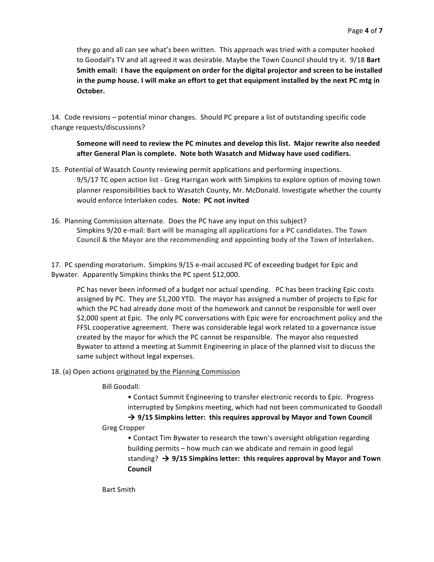they go and all can see what's been written. This approach was tried with a computer hooked to Goodall's TV and all agreed it was desirable. Maybe the Town Council should try it. 9/18 Bart Smith email: I have the equipment on order for the digital projector and screen to be installed in the pump house. I will make an effort to get that equipment installed by the next PC mtg in **October.**

14. Code revisions – potential minor changes. Should PC prepare a list of outstanding specific code change requests/discussions?

# Someone will need to review the PC minutes and develop this list. Major rewrite also needed after General Plan is complete. Note both Wasatch and Midway have used codifiers.

- 15. Potential of Wasatch County reviewing permit applications and performing inspections. 9/5/17 TC open action list - Greg Harrigan work with Simpkins to explore option of moving town planner responsibilities back to Wasatch County, Mr. McDonald. Investigate whether the county would enforce Interlaken codes. Note: PC not invited
- 16. Planning Commission alternate. Does the PC have any input on this subject? Simpkins  $9/20$  e-mail: Bart will be managing all applications for a PC candidates. The Town Council & the Mayor are the recommending and appointing body of the Town of Interlaken.

17. PC spending moratorium. Simpkins 9/15 e-mail accused PC of exceeding budget for Epic and Bywater. Apparently Simpkins thinks the PC spent \$12,000.

PC has never been informed of a budget nor actual spending. PC has been tracking Epic costs assigned by PC. They are \$1,200 YTD. The mayor has assigned a number of projects to Epic for which the PC had already done most of the homework and cannot be responsible for well over \$2,000 spent at Epic. The only PC conversations with Epic were for encroachment policy and the FFSL cooperative agreement. There was considerable legal work related to a governance issue created by the mayor for which the PC cannot be responsible. The mayor also requested Bywater to attend a meeting at Summit Engineering in place of the planned visit to discuss the same subject without legal expenses.

# 18. (a) Open actions originated by the Planning Commission

Bill Goodall:

• Contact Summit Engineering to transfer electronic records to Epic. Progress interrupted by Simpkins meeting, which had not been communicated to Goodall  $\rightarrow$  9/15 Simpkins letter: this requires approval by Mayor and Town Council

# Greg Cropper

• Contact Tim Bywater to research the town's oversight obligation regarding building permits – how much can we abdicate and remain in good legal standing?  $\rightarrow$  9/15 Simpkins letter: this requires approval by Mayor and Town **Council**

Bart Smith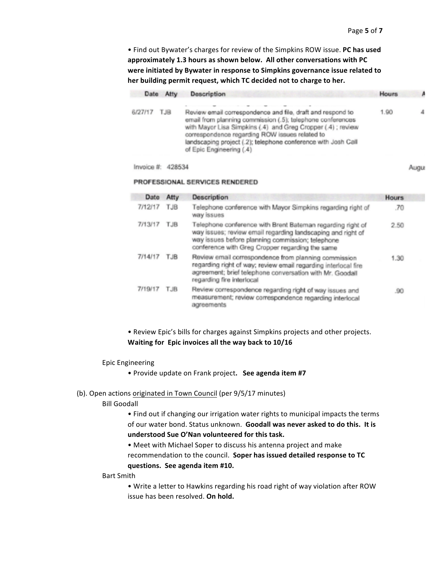Augu

• Find out Bywater's charges for review of the Simpkins ROW issue. PC has used approximately 1.3 hours as shown below. All other conversations with PC were initiated by Bywater in response to Simpkins governance issue related to her building permit request, which TC decided not to charge to her.

|         | Date Atty | <b>Description</b>                                                                                                                                                                                                                                                                                                                     | <b>Hours</b> |  |
|---------|-----------|----------------------------------------------------------------------------------------------------------------------------------------------------------------------------------------------------------------------------------------------------------------------------------------------------------------------------------------|--------------|--|
| 6/27/17 | TJB       | Review email correspondence and file, draft and respond to<br>email from planning commission (.5); telephone conferences<br>with Mayor Lisa Simpkins (.4) and Greg Cropper (.4); review<br>correspondence regarding ROW issues related to<br>landscaping project (.2); telephone conference with Josh Call<br>of Epic Engineering (.4) | 1.90         |  |
|         |           |                                                                                                                                                                                                                                                                                                                                        |              |  |

#### Invoice #: 428534

#### PROFESSIONAL SERVICES RENDERED

| Date    | Atty | <b>Description</b>                                                                                                                                                                                                               | <b>Hours</b> |
|---------|------|----------------------------------------------------------------------------------------------------------------------------------------------------------------------------------------------------------------------------------|--------------|
| 7/12/17 | TJB  | Telephone conference with Mayor Simpkins regarding right of<br>way issues                                                                                                                                                        | .70          |
| 7/13/17 | TJB  | Telephone conference with Brent Bateman regarding right of<br>way issues; review email regarding landscaping and right of<br>way issues before planning commission; telephone<br>conference with Greg Cropper regarding the same | 2.50         |
| 7/14/17 | TJB  | Review email correspondence from planning commission<br>regarding right of way; review email regarding interlocal fire<br>agreement; brief telephone conversation with Mr. Goodall<br>regarding fire interlocal                  | 1.30         |
| 7/19/17 | TJB  | Review correspondence regarding right of way issues and<br>measurement; review correspondence regarding interlocal<br>agreements                                                                                                 | .90          |

# • Review Epic's bills for charges against Simpkins projects and other projects. **Waiting for Epic invoices all the way back to 10/16**

#### Epic Engineering

• Provide update on Frank project. See agenda item #7

### (b). Open actions originated in Town Council (per 9/5/17 minutes)

## **Bill Goodall**

• Find out if changing our irrigation water rights to municipal impacts the terms of our water bond. Status unknown. Goodall was never asked to do this. It is understood Sue O'Nan volunteered for this task.

• Meet with Michael Soper to discuss his antenna project and make recommendation to the council. Soper has issued detailed response to TC **questions. See agenda item #10.**

## Bart Smith

• Write a letter to Hawkins regarding his road right of way violation after ROW issue has been resolved. On hold.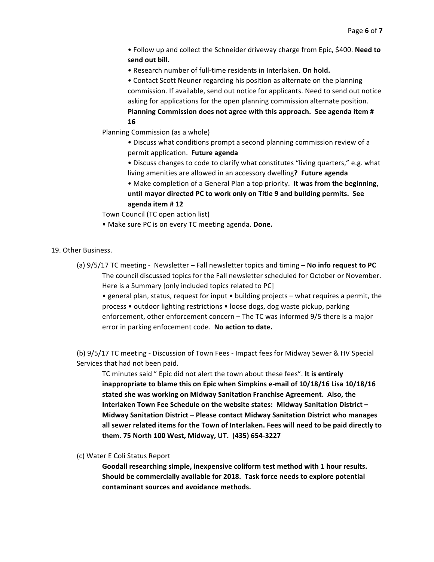• Follow up and collect the Schneider driveway charge from Epic, \$400. Need to send out bill.

• Research number of full-time residents in Interlaken. On hold.

• Contact Scott Neuner regarding his position as alternate on the planning commission. If available, send out notice for applicants. Need to send out notice asking for applications for the open planning commission alternate position. Planning Commission does not agree with this approach. See agenda item # **16**

Planning Commission (as a whole)

• Discuss what conditions prompt a second planning commission review of a permit application. Future agenda

• Discuss changes to code to clarify what constitutes "living quarters," e.g. what living amenities are allowed in an accessory dwelling? **Future agenda** 

• Make completion of a General Plan a top priority. It was from the beginning, until mayor directed PC to work only on Title 9 and building permits. See **agenda item # 12**

Town Council (TC open action list)

• Make sure PC is on every TC meeting agenda. Done.

19. Other Business.

(a)  $9/5/17$  TC meeting - Newsletter – Fall newsletter topics and timing – No info request to PC The council discussed topics for the Fall newsletter scheduled for October or November. Here is a Summary [only included topics related to PC]

• general plan, status, request for input • building projects – what requires a permit, the process • outdoor lighting restrictions • loose dogs, dog waste pickup, parking enforcement, other enforcement concern – The TC was informed 9/5 there is a major error in parking enfocement code. No action to date.

(b) 9/5/17 TC meeting - Discussion of Town Fees - Impact fees for Midway Sewer & HV Special Services that had not been paid.

TC minutes said " Epic did not alert the town about these fees". It is entirely inappropriate to blame this on Epic when Simpkins e-mail of 10/18/16 Lisa 10/18/16 stated she was working on Midway Sanitation Franchise Agreement. Also, the Interlaken Town Fee Schedule on the website states: Midway Sanitation District -**Midway Sanitation District - Please contact Midway Sanitation District who manages** all sewer related items for the Town of Interlaken. Fees will need to be paid directly to **them. 75 North 100 West, Midway, UT. (435) 654-3227**

(c) Water E Coli Status Report

Goodall researching simple, inexpensive coliform test method with 1 hour results. Should be commercially available for 2018. Task force needs to explore potential contaminant sources and avoidance methods.